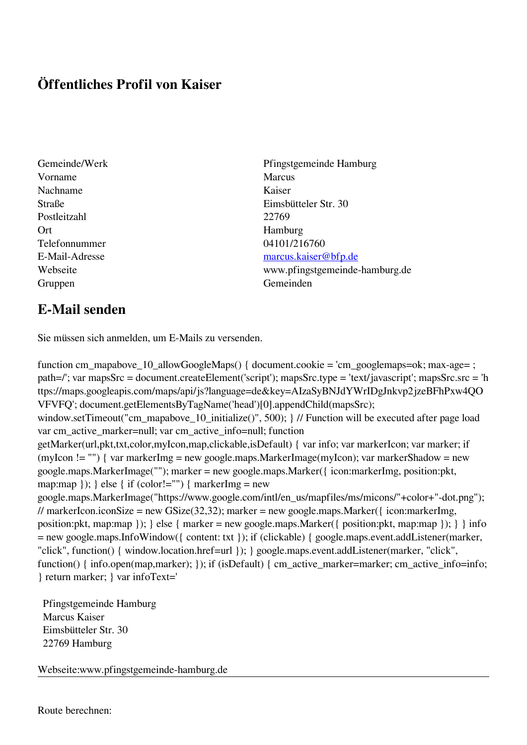## **Öffentliches Profil von Kaiser**

- Vorname Marcus Nachname Kaiser Postleitzahl 22769 Ort Hamburg Telefonnummer 04101/216760 Gruppen Gemeinden Gemeinden Gemeinden Gemeinden Gemeinden Gemeinden Gemeinden Gemeinden Gemeinden Gemeinden G
- Gemeinde/Werk Pfingstgemeinde Hamburg Straße Eimsbütteler Str. 30 E-Mail-Adresse [marcus.kaiser@bfp.de](mailto:marcus.kaiser@bfp.de) Webseite www.pfingstgemeinde-hamburg.de

## **E-Mail senden**

Sie müssen sich anmelden, um E-Mails zu versenden.

function cm\_mapabove\_10\_allowGoogleMaps() { document.cookie = 'cm\_googlemaps=ok; max-age= ; path=/'; var mapsSrc = document.createElement('script'); mapsSrc.type = 'text/javascript'; mapsSrc.src = 'h ttps://maps.googleapis.com/maps/api/js?language=de&key=AIzaSyBNJdYWrIDgJnkvp2jzeBFhPxw4QO VFVFQ'; document.getElementsByTagName('head')[0].appendChild(mapsSrc); window.setTimeout("cm\_mapabove\_10\_initialize()", 500); } // Function will be executed after page load var cm\_active\_marker=null; var cm\_active\_info=null; function getMarker(url,pkt,txt,color,myIcon,map,clickable,isDefault) { var info; var markerIcon; var marker; if (myIcon != "") { var markerImg = new google.maps.MarkerImage(myIcon); var markerShadow = new google.maps.MarkerImage(""); marker = new google.maps.Marker({ icon:markerImg, position:pkt, map:map  $\}$ ;  $\}$  else  $\{$  if (color!="")  $\{$  markerImg = new google.maps.MarkerImage("https://www.google.com/intl/en\_us/mapfiles/ms/micons/"+color+"-dot.png"); // markerIcon.iconSize = new GSize(32,32); marker = new google.maps.Marker({ $i$ con:markerImg, position:pkt, map:map }); } else { marker = new google.maps.Marker({ position:pkt, map:map }); } } info = new google.maps.InfoWindow({ content: txt }); if (clickable) { google.maps.event.addListener(marker, "click", function() { window.location.href=url }); } google.maps.event.addListener(marker, "click", function() { info.open(map,marker); }); if (isDefault) { cm\_active\_marker=marker; cm\_active\_info=info; } return marker; } var infoText='

 Pfingstgemeinde Hamburg Marcus Kaiser Eimsbütteler Str. 30 22769 Hamburg

Webseite:www.pfingstgemeinde-hamburg.de